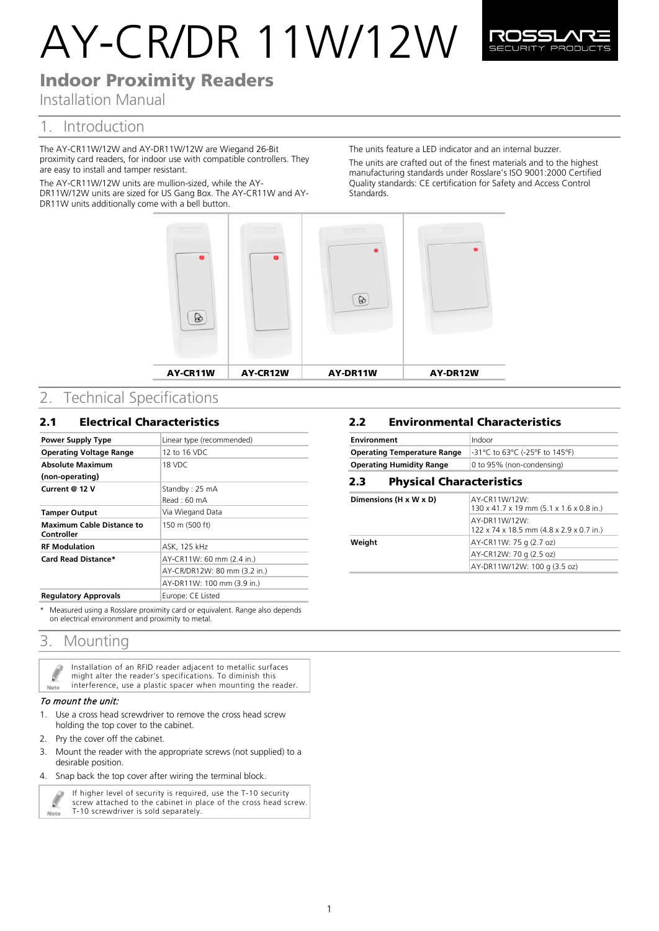# AY-CR/DR 11W/12W



# Indoor Proximity Readers

Installation Manual

# 1. Introduction

The AY-CR11W/12W and AY-DR11W/12W are Wiegand 26-Bit proximity card readers, for indoor use with compatible controllers. They are easy to install and tamper resistant.

The AY-CR11W/12W units are mullion-sized, while the AY-DR11W/12W units are sized for US Gang Box. The AY-CR11W and AY-DR11W units additionally come with a bell button.

The units feature a LED indicator and an internal buzzer. The units are crafted out of the finest materials and to the highest manufacturing standards under Rosslare's ISO 9001:2000 Certified Quality standards: CE certification for Safety and Access Control **Standards** 



# 2. Technical Specifications

## 2.1 Electrical Characteristics

| Power Supply Type                              | Linear type (recommended)    |
|------------------------------------------------|------------------------------|
| <b>Operating Voltage Range</b>                 | 12 to 16 VDC                 |
| <b>Absolute Maximum</b>                        | 18 VDC                       |
| (non-operating)                                |                              |
| Current @ 12 V                                 | Standby: 25 mA               |
|                                                | Read: 60 mA                  |
| <b>Tamper Output</b>                           | Via Wiegand Data             |
| <b>Maximum Cable Distance to</b><br>Controller | 150 m (500 ft)               |
| <b>RF Modulation</b>                           | ASK, 125 kHz                 |
| Card Read Distance*                            | AY-CR11W: 60 mm (2.4 in.)    |
|                                                | AY-CR/DR12W: 80 mm (3.2 in.) |
|                                                | AY-DR11W: 100 mm (3.9 in.)   |
| <b>Regulatory Approvals</b>                    | Europe: CE Listed            |

\* Measured using a Rosslare proximity card or equivalent. Range also depends on electrical environment and proximity to metal.

## 3. Mounting

| L<br>Note | Installation of an RFID reader adjacent to metallic surfaces<br>might alter the reader's specifications. To diminish this<br>interference, use a plastic spacer when mounting the reader. |
|-----------|-------------------------------------------------------------------------------------------------------------------------------------------------------------------------------------------|
|           |                                                                                                                                                                                           |

#### To mount the unit:

- 1. Use a cross head screwdriver to remove the cross head screw holding the top cover to the cabinet.
- 2. Pry the cover off the cabinet.
- 3. Mount the reader with the appropriate screws (not supplied) to a desirable position.
- 4. Snap back the top cover after wiring the terminal block.



If higher level of security is required, use the T-10 security screw attached to the cabinet in place of the cross head screw.

## 2.2 **Environmental Characteristics**

| <b>Environment</b>                 | Indoor                         |  |
|------------------------------------|--------------------------------|--|
| <b>Operating Temperature Range</b> | -31°C to 63°C (-25°F to 145°F) |  |
| <b>Operating Humidity Range</b>    | 0 to 95% (non-condensing)      |  |
| Dhucical Charactorictics<br>כל     |                                |  |

### 2.3 *7B*Physical Characteristics **Dimensions (H x W x D)**  $AY-CR11W/12W$ :

|        | 130 x 41.7 x 19 mm (5.1 x 1.6 x 0.8 in.)                  |
|--------|-----------------------------------------------------------|
|        | AY-DR11W/12W:<br>122 x 74 x 18.5 mm (4.8 x 2.9 x 0.7 in.) |
| Weight | AY-CR11W: 75 g (2.7 oz)                                   |
|        | AY-CR12W: 70 g (2.5 oz)                                   |
|        | AY-DR11W/12W: 100 g (3.5 oz)                              |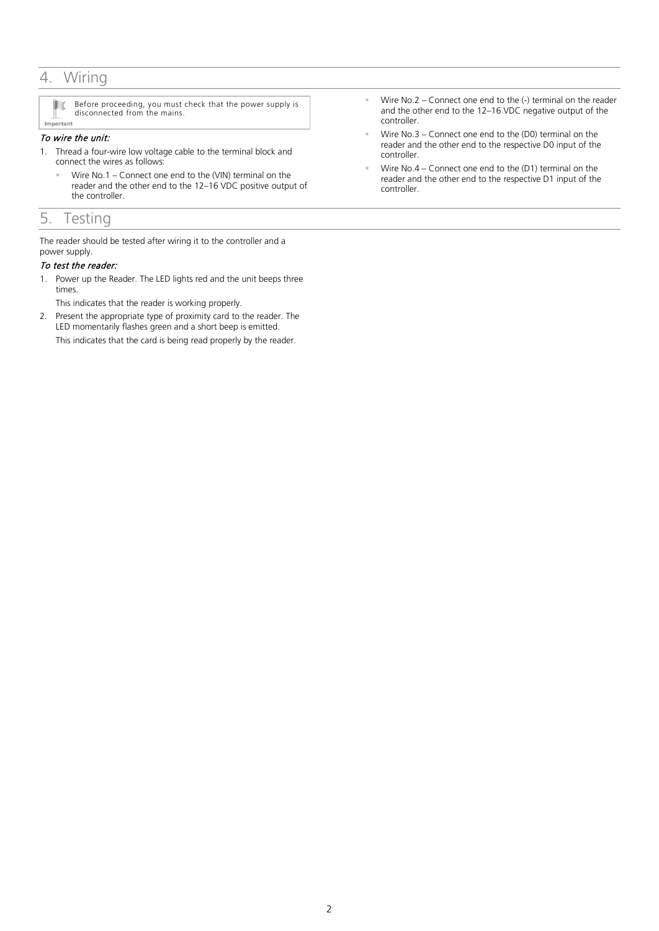## 4. Wiring

inc. Before proceeding, you must check that the power supply is disconnected from the mains. Important

## To wire the unit:

- 1. Thread a four-wire low voltage cable to the terminal block and connect the wires as follows:
	- Wire No.1 Connect one end to the (VIN) terminal on the reader and the other end to the 12–16 VDC positive output of the controller.

## 5. Testing

The reader should be tested after wiring it to the controller and a power supply.

## To test the reader:

1. Power up the Reader. The LED lights red and the unit beeps three times.

This indicates that the reader is working properly.

2. Present the appropriate type of proximity card to the reader. The LED momentarily flashes green and a short beep is emitted. This indicates that the card is being read properly by the reader.

- Wire No.2 Connect one end to the (-) terminal on the reader and the other end to the 12–16 VDC negative output of the controller.
- Wire No.3 Connect one end to the (D0) terminal on the reader and the other end to the respective D0 input of the controller.
- Wire No.4 Connect one end to the (D1) terminal on the reader and the other end to the respective D1 input of the controller.